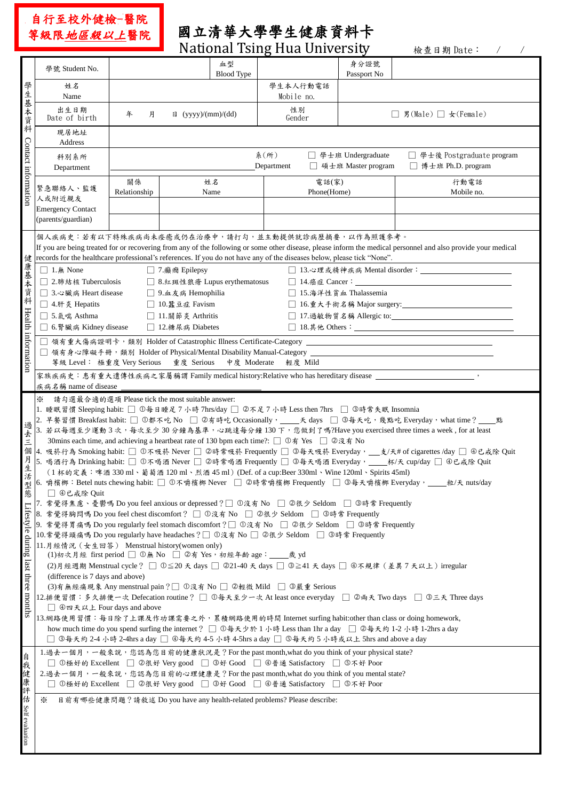自行至校外健檢-醫院 等級限地區級以上醫院

## 國立清華大學學生健康資料卡

| <b>National Tsing Hua University</b><br>檢查日期 Date: /            |                                                                                                                                                                                                                                                                                                                                                                                                                                                                                                                                                                                                                                                                                                                                                                                                                                                                                                                                                                                                                                                                                                                                                                                                                                                                                                                                                                                                                                                                                                                                                                                                                                                                                                                                                                                                                                                                                                                                                                                         |                                                                                                                                                                           |                             |                                                                           |                                                                                                                                                                                                                                                             |                     |                                                                                                     |  |  |  |  |  |  |
|-----------------------------------------------------------------|-----------------------------------------------------------------------------------------------------------------------------------------------------------------------------------------------------------------------------------------------------------------------------------------------------------------------------------------------------------------------------------------------------------------------------------------------------------------------------------------------------------------------------------------------------------------------------------------------------------------------------------------------------------------------------------------------------------------------------------------------------------------------------------------------------------------------------------------------------------------------------------------------------------------------------------------------------------------------------------------------------------------------------------------------------------------------------------------------------------------------------------------------------------------------------------------------------------------------------------------------------------------------------------------------------------------------------------------------------------------------------------------------------------------------------------------------------------------------------------------------------------------------------------------------------------------------------------------------------------------------------------------------------------------------------------------------------------------------------------------------------------------------------------------------------------------------------------------------------------------------------------------------------------------------------------------------------------------------------------------|---------------------------------------------------------------------------------------------------------------------------------------------------------------------------|-----------------------------|---------------------------------------------------------------------------|-------------------------------------------------------------------------------------------------------------------------------------------------------------------------------------------------------------------------------------------------------------|---------------------|-----------------------------------------------------------------------------------------------------|--|--|--|--|--|--|
|                                                                 | 學號 Student No.                                                                                                                                                                                                                                                                                                                                                                                                                                                                                                                                                                                                                                                                                                                                                                                                                                                                                                                                                                                                                                                                                                                                                                                                                                                                                                                                                                                                                                                                                                                                                                                                                                                                                                                                                                                                                                                                                                                                                                          |                                                                                                                                                                           |                             | 血型<br><b>Blood Type</b>                                                   |                                                                                                                                                                                                                                                             | 身分證號<br>Passport No |                                                                                                     |  |  |  |  |  |  |
|                                                                 | 姓名<br>Name                                                                                                                                                                                                                                                                                                                                                                                                                                                                                                                                                                                                                                                                                                                                                                                                                                                                                                                                                                                                                                                                                                                                                                                                                                                                                                                                                                                                                                                                                                                                                                                                                                                                                                                                                                                                                                                                                                                                                                              |                                                                                                                                                                           |                             |                                                                           | 學生本人行動電話<br>Mobile no.                                                                                                                                                                                                                                      |                     |                                                                                                     |  |  |  |  |  |  |
| 學生基本資料                                                          | 出生日期<br>Date of birth                                                                                                                                                                                                                                                                                                                                                                                                                                                                                                                                                                                                                                                                                                                                                                                                                                                                                                                                                                                                                                                                                                                                                                                                                                                                                                                                                                                                                                                                                                                                                                                                                                                                                                                                                                                                                                                                                                                                                                   | 年<br>月                                                                                                                                                                    | $\boxplus$ (yyyy)/(mm)/(dd) |                                                                           | 性別<br>Gender                                                                                                                                                                                                                                                |                     | □ 男(Male) □ 女(Female)                                                                               |  |  |  |  |  |  |
|                                                                 | 現居地址<br>Address                                                                                                                                                                                                                                                                                                                                                                                                                                                                                                                                                                                                                                                                                                                                                                                                                                                                                                                                                                                                                                                                                                                                                                                                                                                                                                                                                                                                                                                                                                                                                                                                                                                                                                                                                                                                                                                                                                                                                                         |                                                                                                                                                                           |                             |                                                                           |                                                                                                                                                                                                                                                             |                     |                                                                                                     |  |  |  |  |  |  |
| Contact information                                             | 科別系所<br>Department                                                                                                                                                                                                                                                                                                                                                                                                                                                                                                                                                                                                                                                                                                                                                                                                                                                                                                                                                                                                                                                                                                                                                                                                                                                                                                                                                                                                                                                                                                                                                                                                                                                                                                                                                                                                                                                                                                                                                                      |                                                                                                                                                                           |                             | □ 學士後 Postgraduate program<br>□ 博士班 Ph.D. program<br>□ 碩士班 Master program |                                                                                                                                                                                                                                                             |                     |                                                                                                     |  |  |  |  |  |  |
|                                                                 | 緊急聯絡人、監護<br>人或附近親友                                                                                                                                                                                                                                                                                                                                                                                                                                                                                                                                                                                                                                                                                                                                                                                                                                                                                                                                                                                                                                                                                                                                                                                                                                                                                                                                                                                                                                                                                                                                                                                                                                                                                                                                                                                                                                                                                                                                                                      | 關係<br>Relationship                                                                                                                                                        |                             | 姓名<br>Name                                                                | 電話(家)<br>Phone(Home)                                                                                                                                                                                                                                        |                     | 行動電話<br>Mobile no.                                                                                  |  |  |  |  |  |  |
|                                                                 | <b>Emergency Contact</b><br>(parents/guardian)                                                                                                                                                                                                                                                                                                                                                                                                                                                                                                                                                                                                                                                                                                                                                                                                                                                                                                                                                                                                                                                                                                                                                                                                                                                                                                                                                                                                                                                                                                                                                                                                                                                                                                                                                                                                                                                                                                                                          |                                                                                                                                                                           |                             |                                                                           |                                                                                                                                                                                                                                                             |                     |                                                                                                     |  |  |  |  |  |  |
|                                                                 | 個人疾病史︰若有以下特殊疾病尚未痊癒或仍在治療中,請打勾,並主動提供就診病歷摘要,以作為照護參考。<br>If you are being treated for or recovering from any of the following or some other disease, please inform the medical personnel and also provide your medical                                                                                                                                                                                                                                                                                                                                                                                                                                                                                                                                                                                                                                                                                                                                                                                                                                                                                                                                                                                                                                                                                                                                                                                                                                                                                                                                                                                                                                                                                                                                                                                                                                                                                                                                                                      |                                                                                                                                                                           |                             |                                                                           |                                                                                                                                                                                                                                                             |                     |                                                                                                     |  |  |  |  |  |  |
| 健                                                               | records for the healthcare professional's references. If you do not have any of the diseases below, please tick "None".<br>$\Box$ 1. form None<br>□ 7.癲癇 Epilepsy                                                                                                                                                                                                                                                                                                                                                                                                                                                                                                                                                                                                                                                                                                                                                                                                                                                                                                                                                                                                                                                                                                                                                                                                                                                                                                                                                                                                                                                                                                                                                                                                                                                                                                                                                                                                                       |                                                                                                                                                                           |                             |                                                                           |                                                                                                                                                                                                                                                             |                     |                                                                                                     |  |  |  |  |  |  |
|                                                                 | □ 2.肺結核 Tuberculosis<br>□ 8.紅斑性狼瘡 Lupus erythematosus<br>$\Box$ 14.癌症 Cancer:                                                                                                                                                                                                                                                                                                                                                                                                                                                                                                                                                                                                                                                                                                                                                                                                                                                                                                                                                                                                                                                                                                                                                                                                                                                                                                                                                                                                                                                                                                                                                                                                                                                                                                                                                                                                                                                                                                           |                                                                                                                                                                           |                             |                                                                           |                                                                                                                                                                                                                                                             |                     |                                                                                                     |  |  |  |  |  |  |
|                                                                 |                                                                                                                                                                                                                                                                                                                                                                                                                                                                                                                                                                                                                                                                                                                                                                                                                                                                                                                                                                                                                                                                                                                                                                                                                                                                                                                                                                                                                                                                                                                                                                                                                                                                                                                                                                                                                                                                                                                                                                                         | □ 3.心臟病 Heart disease<br>□ 9.血友病 Hemophilia<br>□ 15.海洋性貧血 Thalassemia                                                                                                     |                             |                                                                           |                                                                                                                                                                                                                                                             |                     |                                                                                                     |  |  |  |  |  |  |
|                                                                 | □ 4. 肝炎 Hepatits<br>□ 5.氣喘 Asthma                                                                                                                                                                                                                                                                                                                                                                                                                                                                                                                                                                                                                                                                                                                                                                                                                                                                                                                                                                                                                                                                                                                                                                                                                                                                                                                                                                                                                                                                                                                                                                                                                                                                                                                                                                                                                                                                                                                                                       | □ 10.蠶豆症 Favism<br>□ 16.重大手術名稱 Major surgery:<br>□ 16.重大手術名稱 Major surgery:<br>□ 11. 關節炎 Arthritis                                                                        |                             |                                                                           |                                                                                                                                                                                                                                                             |                     |                                                                                                     |  |  |  |  |  |  |
|                                                                 |                                                                                                                                                                                                                                                                                                                                                                                                                                                                                                                                                                                                                                                                                                                                                                                                                                                                                                                                                                                                                                                                                                                                                                                                                                                                                                                                                                                                                                                                                                                                                                                                                                                                                                                                                                                                                                                                                                                                                                                         | □ 6. 腎臟病 Kidney disease<br>□ 12.糖尿病 Diabetes                                                                                                                              |                             |                                                                           |                                                                                                                                                                                                                                                             |                     |                                                                                                     |  |  |  |  |  |  |
| 康基本資料 Health information                                        | $\Box$                                                                                                                                                                                                                                                                                                                                                                                                                                                                                                                                                                                                                                                                                                                                                                                                                                                                                                                                                                                                                                                                                                                                                                                                                                                                                                                                                                                                                                                                                                                                                                                                                                                                                                                                                                                                                                                                                                                                                                                  |                                                                                                                                                                           |                             |                                                                           |                                                                                                                                                                                                                                                             |                     | 領有重大傷病證明卡,類別 Holder of Catastrophic Illness Certificate-Category __________________________________ |  |  |  |  |  |  |
|                                                                 |                                                                                                                                                                                                                                                                                                                                                                                                                                                                                                                                                                                                                                                                                                                                                                                                                                                                                                                                                                                                                                                                                                                                                                                                                                                                                                                                                                                                                                                                                                                                                                                                                                                                                                                                                                                                                                                                                                                                                                                         | □ 領有身心障礙手冊,類別 Holder of Physical/Mental Disability Manual-Category ________________________________<br>重度 Serious<br>等級 Level: 極重度 Very Serious<br>中度 Moderate<br>輕度 Mild |                             |                                                                           |                                                                                                                                                                                                                                                             |                     |                                                                                                     |  |  |  |  |  |  |
|                                                                 | 疾病名稱 name of disease                                                                                                                                                                                                                                                                                                                                                                                                                                                                                                                                                                                                                                                                                                                                                                                                                                                                                                                                                                                                                                                                                                                                                                                                                                                                                                                                                                                                                                                                                                                                                                                                                                                                                                                                                                                                                                                                                                                                                                    |                                                                                                                                                                           |                             |                                                                           |                                                                                                                                                                                                                                                             |                     |                                                                                                     |  |  |  |  |  |  |
| 過去三<br>個<br>月<br>生活<br>型態<br>Lifestyle during last three months | 請勾選最合適的選項 Please tick the most suitable answer:<br>⋇<br>1. 睡眠習慣 Sleeping habit: □ ①每日睡足 7 小時 7hrs/day □ ②不足 7 小時 Less then 7hrs □ ③時常失眠 Insomnia<br>2. 早餐習慣 Breakfast habit: □ ①都不吃 No □ ②有時吃 Occasionally, _____天 days □ ③每天吃,幾點吃 Everyday, what time? ____點<br>3. 若以每週至少運動 3 次,每次至少 30 分鐘為基準,心跳達每分鐘 130 下,您做到了嗎?Have you exercised three times a week, for at least<br>30mins each time, and achieving a heartbeat rate of 130 bpm each time?: □ ①有 Yes □ ②沒有 No<br>4. 吸菸行為 Smoking habit: □ ①不吸菸 Never □ ②時常吸菸 Frequently □ ③每天吸菸 Everyday, __支/天# of cigarettes /day □ ④已戒除 Quit<br>5. 喝酒行為 Drinking habit: □ ①不喝酒 Never □ ②時常喝酒 Frequently □ ③每天喝酒 Everyday, ____杯/天 cup/day □ ④已戒除 Quit<br>(1杯的定義: 啤酒 330 ml、葡萄酒 120 ml、烈酒 45 ml) (Def. of a cup:Beer 330ml、Wine 120ml、Spirits 45ml)<br> 6. 嚼檳榔:Betel nuts chewing habit: □ ①不嚼檳榔 Never □ ②時常嚼檳榔 Frequently □ ③每天嚼檳榔 Everyday,__粒/天 nuts/day<br>□ 4已戒除 Quit<br>7. 常覺得焦慮、憂鬱嗎 Do you feel anxious or depressed?□ ①沒有 No □ ②很少 Seldom □ ③時常 Frequently<br>常覺得胸悶嗎 Do you feel chest discomfort? □ ①沒有 No □ ②很少 Seldom □ ③時常 Frequently<br>9. 常覺得胃痛嗎 Do you regularly feel stomach discomfort?□ ①沒有 No □ ②很少 Seldom □ ③時常 Frequently<br>10.常覺得頭痛嗎 Do you regularly have headaches?□ ①沒有 No □ ②很少 Seldom □ ③時常 Frequently<br>11.月經情況 (女生回答) Menstrual history(women only)<br>(2)月經週期 Menstrual cycle? □ ①≦20 天 days □ ②21-40 天 days □ ③≧41 天 days □ ④不規律 (差異 7 天以上) irregular<br>(difference is 7 days and above)<br>(3)有無經痛現象 Any menstrual pain?□ ①沒有 No □ ②輕微 Mild □ ③嚴重 Serious<br>12.排便習慣:多久排便一次 Defecation routine? □ ①每天至少一次 At least once everyday □ ②雨天 Two days □ ③三天 Three days<br>□ 4四天以上 Four days and above<br>13.網路使用習慣:每日除了上課及作功課需要之外,累積網路使用的時間 Internet surfing habit:other than class or doing homework,<br>how much time do you spend surfing the internet? □ ①每天少於 1 小時 Less than 1hr a day □ ②每天約 1-2 小時 1-2hrs a day<br>□ ③每天約 2-4 小時 2-4hrs a day □ ④每天約 4-5 小時 4-5hrs a day □ ⑤每天約 5 小時或以上 5hrs and above a day |                                                                                                                                                                           |                             |                                                                           |                                                                                                                                                                                                                                                             |                     |                                                                                                     |  |  |  |  |  |  |
|                                                                 |                                                                                                                                                                                                                                                                                                                                                                                                                                                                                                                                                                                                                                                                                                                                                                                                                                                                                                                                                                                                                                                                                                                                                                                                                                                                                                                                                                                                                                                                                                                                                                                                                                                                                                                                                                                                                                                                                                                                                                                         |                                                                                                                                                                           |                             |                                                                           | 1.過去一個月,一般來說,您認為您目前的健康狀況是?For the past month,what do you think of your physical state?<br>□ ①極好的 Excellent □ ②很好 Very good □ ③好 Good □ ④普通 Satisfactory □ ⑤不好 Poor<br>2.過去一個月,一般來說,您認為您目前的心理健康是? For the past month, what do you think of you mental state? |                     |                                                                                                     |  |  |  |  |  |  |
|                                                                 | □ ①極好的 Excellent □ ②很好 Very good □ ③好 Good □ ④普通 Satisfactory □ ③不好 Poor<br>目前有哪些健康問題?請敘述 Do you have any health-related problems? Please describe:<br>⋇                                                                                                                                                                                                                                                                                                                                                                                                                                                                                                                                                                                                                                                                                                                                                                                                                                                                                                                                                                                                                                                                                                                                                                                                                                                                                                                                                                                                                                                                                                                                                                                                                                                                                                                                                                                                                                |                                                                                                                                                                           |                             |                                                                           |                                                                                                                                                                                                                                                             |                     |                                                                                                     |  |  |  |  |  |  |
| 自我健康評估 Self evaluation                                          |                                                                                                                                                                                                                                                                                                                                                                                                                                                                                                                                                                                                                                                                                                                                                                                                                                                                                                                                                                                                                                                                                                                                                                                                                                                                                                                                                                                                                                                                                                                                                                                                                                                                                                                                                                                                                                                                                                                                                                                         |                                                                                                                                                                           |                             |                                                                           |                                                                                                                                                                                                                                                             |                     |                                                                                                     |  |  |  |  |  |  |